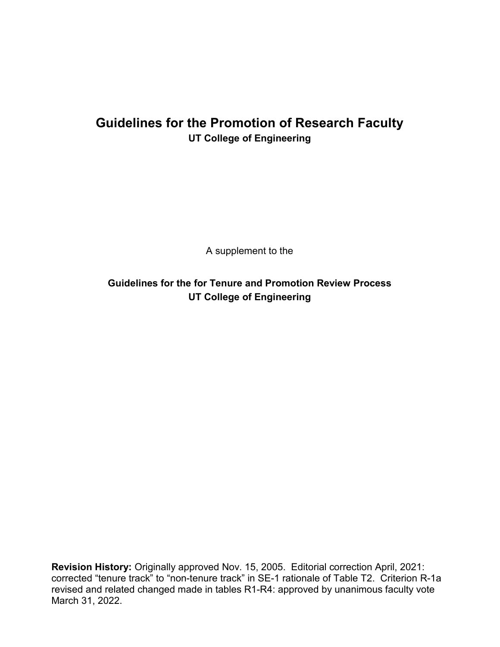# **Guidelines for the Promotion of Research Faculty UT College of Engineering**

A supplement to the

**Guidelines for the for Tenure and Promotion Review Process UT College of Engineering**

**Revision History:** Originally approved Nov. 15, 2005. Editorial correction April, 2021: corrected "tenure track" to "non-tenure track" in SE-1 rationale of Table T2. Criterion R-1a revised and related changed made in tables R1-R4: approved by unanimous faculty vote March 31, 2022.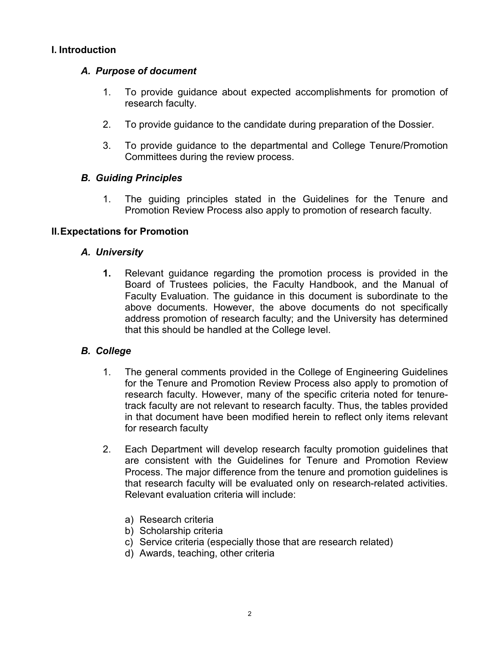## **I. Introduction**

#### *A. Purpose of document*

- 1. To provide guidance about expected accomplishments for promotion of research faculty.
- 2. To provide guidance to the candidate during preparation of the Dossier.
- 3. To provide guidance to the departmental and College Tenure/Promotion Committees during the review process.

#### *B. Guiding Principles*

1. The guiding principles stated in the Guidelines for the Tenure and Promotion Review Process also apply to promotion of research faculty.

#### **II.Expectations for Promotion**

#### *A. University*

**1.** Relevant guidance regarding the promotion process is provided in the Board of Trustees policies, the Faculty Handbook, and the Manual of Faculty Evaluation. The guidance in this document is subordinate to the above documents. However, the above documents do not specifically address promotion of research faculty; and the University has determined that this should be handled at the College level.

## *B. College*

- 1. The general comments provided in the College of Engineering Guidelines for the Tenure and Promotion Review Process also apply to promotion of research faculty. However, many of the specific criteria noted for tenuretrack faculty are not relevant to research faculty. Thus, the tables provided in that document have been modified herein to reflect only items relevant for research faculty
- 2. Each Department will develop research faculty promotion guidelines that are consistent with the Guidelines for Tenure and Promotion Review Process. The major difference from the tenure and promotion guidelines is that research faculty will be evaluated only on research-related activities. Relevant evaluation criteria will include:
	- a) Research criteria
	- b) Scholarship criteria
	- c) Service criteria (especially those that are research related)
	- d) Awards, teaching, other criteria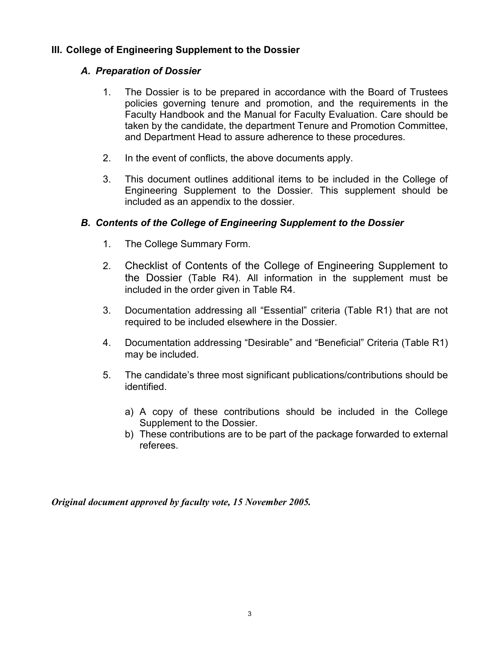## **III. College of Engineering Supplement to the Dossier**

#### *A. Preparation of Dossier*

- 1. The Dossier is to be prepared in accordance with the Board of Trustees policies governing tenure and promotion, and the requirements in the Faculty Handbook and the Manual for Faculty Evaluation. Care should be taken by the candidate, the department Tenure and Promotion Committee, and Department Head to assure adherence to these procedures.
- 2. In the event of conflicts, the above documents apply.
- 3. This document outlines additional items to be included in the College of Engineering Supplement to the Dossier. This supplement should be included as an appendix to the dossier.

#### *B. Contents of the College of Engineering Supplement to the Dossier*

- 1. The College Summary Form.
- 2. Checklist of Contents of the College of Engineering Supplement to the Dossier (Table R4). All information in the supplement must be included in the order given in Table R4.
- 3. Documentation addressing all "Essential" criteria (Table R1) that are not required to be included elsewhere in the Dossier.
- 4. Documentation addressing "Desirable" and "Beneficial" Criteria (Table R1) may be included.
- 5. The candidate's three most significant publications/contributions should be identified.
	- a) A copy of these contributions should be included in the College Supplement to the Dossier.
	- b) These contributions are to be part of the package forwarded to external referees.

*Original document approved by faculty vote, 15 November 2005.*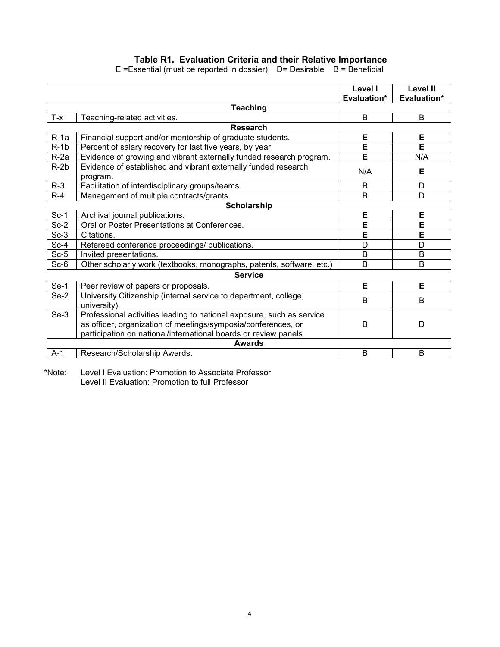#### **Table R1. Evaluation Criteria and their Relative Importance**

|                |                                                                                                                                                                                                            | Level I<br>Evaluation* | Level II<br>Evaluation* |  |  |  |
|----------------|------------------------------------------------------------------------------------------------------------------------------------------------------------------------------------------------------------|------------------------|-------------------------|--|--|--|
|                | <b>Teaching</b>                                                                                                                                                                                            |                        |                         |  |  |  |
| $T - x$        | Teaching-related activities.                                                                                                                                                                               | B                      | B                       |  |  |  |
|                | <b>Research</b>                                                                                                                                                                                            |                        |                         |  |  |  |
| $R-1a$         | Financial support and/or mentorship of graduate students.                                                                                                                                                  | Е                      | Е                       |  |  |  |
| $R-1b$         | Percent of salary recovery for last five years, by year.                                                                                                                                                   | E                      | E                       |  |  |  |
| $R-2a$         | Evidence of growing and vibrant externally funded research program.                                                                                                                                        | E                      | N/A                     |  |  |  |
| $R-2b$         | Evidence of established and vibrant externally funded research<br>program.                                                                                                                                 | N/A                    | Е                       |  |  |  |
| $R-3$          | Facilitation of interdisciplinary groups/teams.                                                                                                                                                            | B                      | D                       |  |  |  |
| $R-4$          | Management of multiple contracts/grants.                                                                                                                                                                   | B                      | D                       |  |  |  |
|                | <b>Scholarship</b>                                                                                                                                                                                         |                        |                         |  |  |  |
| $Sc-1$         | Archival journal publications.                                                                                                                                                                             | Е                      | Е                       |  |  |  |
| $Sc-2$         | Oral or Poster Presentations at Conferences.                                                                                                                                                               | E                      | Ē                       |  |  |  |
| $Sc-3$         | Citations.                                                                                                                                                                                                 | E                      | Ē                       |  |  |  |
| $Sc-4$         | Refereed conference proceedings/ publications.                                                                                                                                                             | D                      | D                       |  |  |  |
| $Sc-5$         | Invited presentations.                                                                                                                                                                                     | B                      | B                       |  |  |  |
| $Sc-6$         | Other scholarly work (textbooks, monographs, patents, software, etc.)                                                                                                                                      | B                      | B                       |  |  |  |
| <b>Service</b> |                                                                                                                                                                                                            |                        |                         |  |  |  |
| $Se-1$         | Peer review of papers or proposals.                                                                                                                                                                        | Е                      | Е                       |  |  |  |
| $Se-2$         | University Citizenship (internal service to department, college,<br>university).                                                                                                                           | B                      | B                       |  |  |  |
| $Se-3$         | Professional activities leading to national exposure, such as service<br>as officer, organization of meetings/symposia/conferences, or<br>participation on national/international boards or review panels. | B                      | D                       |  |  |  |
| <b>Awards</b>  |                                                                                                                                                                                                            |                        |                         |  |  |  |
| $A-1$          | Research/Scholarship Awards.                                                                                                                                                                               | B                      | B                       |  |  |  |

E =Essential (must be reported in dossier) D= Desirable B = Beneficial

\*Note: Level I Evaluation: Promotion to Associate Professor Level II Evaluation: Promotion to full Professor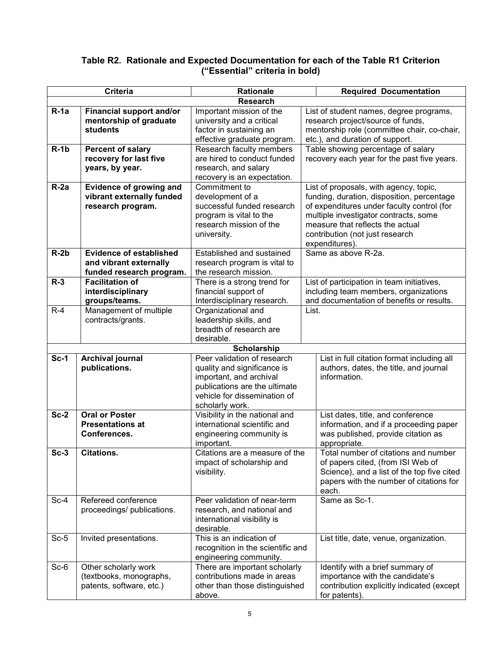#### **Table R2. Rationale and Expected Documentation for each of the Table R1 Criterion ("Essential" criteria in bold)**

| Criteria |                                                    | <b>Rationale</b>                                      |                                                                              | <b>Required Documentation</b>                                                         |  |
|----------|----------------------------------------------------|-------------------------------------------------------|------------------------------------------------------------------------------|---------------------------------------------------------------------------------------|--|
|          | <b>Research</b>                                    |                                                       |                                                                              |                                                                                       |  |
| $R-1a$   | Financial support and/or<br>mentorship of graduate | Important mission of the<br>university and a critical | List of student names, degree programs,<br>research project/source of funds, |                                                                                       |  |
|          | students                                           | factor in sustaining an                               |                                                                              | mentorship role (committee chair, co-chair,                                           |  |
|          |                                                    | effective graduate program.                           |                                                                              | etc.), and duration of support.                                                       |  |
| $R-1b$   | <b>Percent of salary</b>                           | Research faculty members                              |                                                                              | Table showing percentage of salary                                                    |  |
|          | recovery for last five                             | are hired to conduct funded                           |                                                                              | recovery each year for the past five years.                                           |  |
|          | years, by year.                                    | research, and salary                                  |                                                                              |                                                                                       |  |
|          |                                                    | recovery is an expectation.                           |                                                                              |                                                                                       |  |
| $R-2a$   | <b>Evidence of growing and</b>                     | Commitment to                                         |                                                                              | List of proposals, with agency, topic,                                                |  |
|          | vibrant externally funded                          | development of a                                      | funding, duration, disposition, percentage                                   |                                                                                       |  |
|          | research program.                                  | successful funded research                            |                                                                              | of expenditures under faculty control (for                                            |  |
|          |                                                    | program is vital to the                               |                                                                              | multiple investigator contracts, some                                                 |  |
|          |                                                    | research mission of the                               | measure that reflects the actual                                             |                                                                                       |  |
|          |                                                    | university.                                           | contribution (not just research                                              |                                                                                       |  |
|          |                                                    |                                                       | expenditures).                                                               |                                                                                       |  |
| $R-2b$   | <b>Evidence of established</b>                     | Established and sustained                             | Same as above R-2a.                                                          |                                                                                       |  |
|          | and vibrant externally                             | research program is vital to                          |                                                                              |                                                                                       |  |
|          | funded research program.                           | the research mission.                                 |                                                                              |                                                                                       |  |
| $R-3$    | <b>Facilitation of</b>                             | There is a strong trend for                           |                                                                              | List of participation in team initiatives,                                            |  |
|          | interdisciplinary                                  | financial support of                                  |                                                                              | including team members, organizations                                                 |  |
|          | groups/teams.                                      | Interdisciplinary research.                           |                                                                              | and documentation of benefits or results.                                             |  |
| $R-4$    | Management of multiple                             | Organizational and                                    | List.                                                                        |                                                                                       |  |
|          | contracts/grants.                                  | leadership skills, and<br>breadth of research are     |                                                                              |                                                                                       |  |
|          |                                                    | desirable.                                            |                                                                              |                                                                                       |  |
|          |                                                    | Scholarship                                           |                                                                              |                                                                                       |  |
| $Sc-1$   | <b>Archival journal</b>                            | Peer validation of research                           |                                                                              | List in full citation format including all                                            |  |
|          | publications.                                      | quality and significance is                           |                                                                              | authors, dates, the title, and journal                                                |  |
|          |                                                    | important, and archival                               |                                                                              | information.                                                                          |  |
|          |                                                    | publications are the ultimate                         |                                                                              |                                                                                       |  |
|          |                                                    | vehicle for dissemination of                          |                                                                              |                                                                                       |  |
|          |                                                    | scholarly work.                                       |                                                                              |                                                                                       |  |
| $Sc-2$   | <b>Oral or Poster</b>                              | Visibility in the national and                        |                                                                              | List dates, title, and conference                                                     |  |
|          | <b>Presentations at</b>                            | international scientific and                          | information, and if a proceeding paper                                       |                                                                                       |  |
|          | Conferences.                                       | engineering community is                              |                                                                              | was published, provide citation as                                                    |  |
|          |                                                    | important.                                            |                                                                              | appropriate.                                                                          |  |
| $Sc-3$   | <b>Citations.</b>                                  | Citations are a measure of the                        |                                                                              | Total number of citations and number                                                  |  |
|          |                                                    | impact of scholarship and                             |                                                                              | of papers cited, (from ISI Web of                                                     |  |
|          |                                                    | visibility.                                           |                                                                              | Science), and a list of the top five cited<br>papers with the number of citations for |  |
|          |                                                    |                                                       |                                                                              | each.                                                                                 |  |
| $Sc-4$   | Refereed conference                                | Peer validation of near-term                          |                                                                              | Same as Sc-1.                                                                         |  |
|          | proceedings/ publications.                         | research, and national and                            |                                                                              |                                                                                       |  |
|          |                                                    | international visibility is                           |                                                                              |                                                                                       |  |
|          |                                                    | desirable.                                            |                                                                              |                                                                                       |  |
| $Sc-5$   | Invited presentations.                             | This is an indication of                              |                                                                              | List title, date, venue, organization.                                                |  |
|          |                                                    | recognition in the scientific and                     |                                                                              |                                                                                       |  |
|          |                                                    | engineering community.                                |                                                                              |                                                                                       |  |
| $Sc-6$   | Other scholarly work                               | There are important scholarly                         |                                                                              | Identify with a brief summary of                                                      |  |
|          | (textbooks, monographs,                            | contributions made in areas                           |                                                                              | importance with the candidate's                                                       |  |
|          | patents, software, etc.)                           | other than those distinguished                        |                                                                              | contribution explicitly indicated (except                                             |  |
|          |                                                    | above.                                                |                                                                              | for patents).                                                                         |  |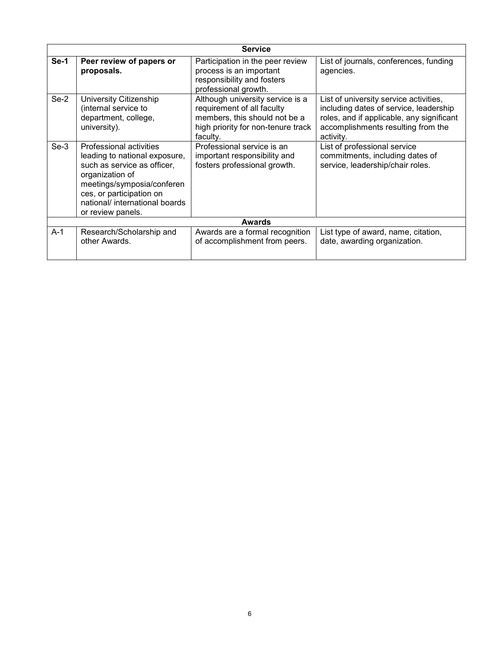| <b>Service</b> |                                                                                                                                                                                                                             |                                                                                                                                                   |                                                                                                                                                                                  |  |
|----------------|-----------------------------------------------------------------------------------------------------------------------------------------------------------------------------------------------------------------------------|---------------------------------------------------------------------------------------------------------------------------------------------------|----------------------------------------------------------------------------------------------------------------------------------------------------------------------------------|--|
| $Se-1$         | Peer review of papers or<br>proposals.                                                                                                                                                                                      | Participation in the peer review<br>process is an important<br>responsibility and fosters<br>professional growth.                                 | List of journals, conferences, funding<br>agencies.                                                                                                                              |  |
| $Se-2$         | University Citizenship<br>(internal service to<br>department, college,<br>university).                                                                                                                                      | Although university service is a<br>requirement of all faculty<br>members, this should not be a<br>high priority for non-tenure track<br>faculty. | List of university service activities,<br>including dates of service, leadership<br>roles, and if applicable, any significant<br>accomplishments resulting from the<br>activity. |  |
| $Se-3$         | Professional activities<br>leading to national exposure,<br>such as service as officer,<br>organization of<br>meetings/symposia/conferen<br>ces, or participation on<br>national/ international boards<br>or review panels. | Professional service is an<br>important responsibility and<br>fosters professional growth.                                                        | List of professional service<br>commitments, including dates of<br>service, leadership/chair roles.                                                                              |  |
| <b>Awards</b>  |                                                                                                                                                                                                                             |                                                                                                                                                   |                                                                                                                                                                                  |  |
| $A-1$          | Research/Scholarship and<br>other Awards.                                                                                                                                                                                   | Awards are a formal recognition<br>of accomplishment from peers.                                                                                  | List type of award, name, citation,<br>date, awarding organization.                                                                                                              |  |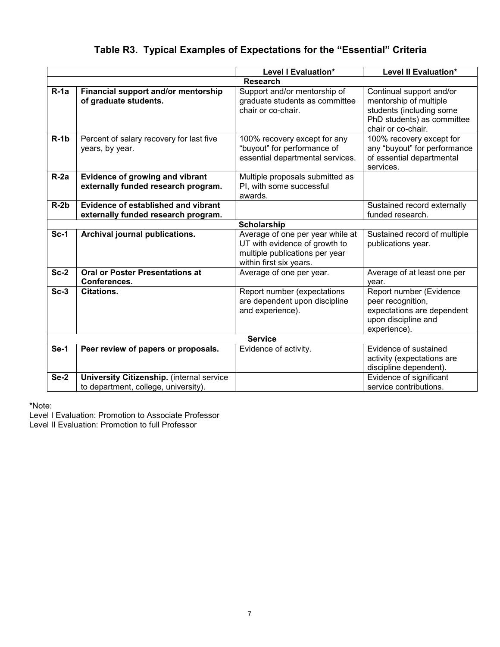## **Table R3. Typical Examples of Expectations for the "Essential" Criteria**

|                 |                                                                                          | Level I Evaluation*                                                                                                            | Level II Evaluation*                                                                                                               |  |  |  |  |
|-----------------|------------------------------------------------------------------------------------------|--------------------------------------------------------------------------------------------------------------------------------|------------------------------------------------------------------------------------------------------------------------------------|--|--|--|--|
| <b>Research</b> |                                                                                          |                                                                                                                                |                                                                                                                                    |  |  |  |  |
| $R-1a$          | Financial support and/or mentorship<br>of graduate students.                             | Support and/or mentorship of<br>graduate students as committee<br>chair or co-chair.                                           | Continual support and/or<br>mentorship of multiple<br>students (including some<br>PhD students) as committee<br>chair or co-chair. |  |  |  |  |
| $R-1b$          | Percent of salary recovery for last five<br>years, by year.                              | 100% recovery except for any<br>"buyout" for performance of<br>essential departmental services.                                | 100% recovery except for<br>any "buyout" for performance<br>of essential departmental<br>services.                                 |  |  |  |  |
| $R-2a$          | Evidence of growing and vibrant<br>externally funded research program.                   | Multiple proposals submitted as<br>PI, with some successful<br>awards.                                                         |                                                                                                                                    |  |  |  |  |
| $R-2b$          | Evidence of established and vibrant<br>externally funded research program.               |                                                                                                                                | Sustained record externally<br>funded research.                                                                                    |  |  |  |  |
|                 |                                                                                          | <b>Scholarship</b>                                                                                                             |                                                                                                                                    |  |  |  |  |
| $Sc-1$          | Archival journal publications.                                                           | Average of one per year while at<br>UT with evidence of growth to<br>multiple publications per year<br>within first six years. | Sustained record of multiple<br>publications year.                                                                                 |  |  |  |  |
| $Sc-2$          | <b>Oral or Poster Presentations at</b><br>Conferences.                                   | Average of one per year.                                                                                                       | Average of at least one per<br>year.                                                                                               |  |  |  |  |
| $Sc-3$          | <b>Citations.</b>                                                                        | Report number (expectations<br>are dependent upon discipline<br>and experience).                                               | Report number (Evidence<br>peer recognition,<br>expectations are dependent<br>upon discipline and<br>experience).                  |  |  |  |  |
|                 | <b>Service</b>                                                                           |                                                                                                                                |                                                                                                                                    |  |  |  |  |
| $Se-1$          | Peer review of papers or proposals.                                                      | Evidence of activity.                                                                                                          | Evidence of sustained<br>activity (expectations are<br>discipline dependent).                                                      |  |  |  |  |
| $Se-2$          | <b>University Citizenship.</b> (internal service<br>to department, college, university). |                                                                                                                                | Evidence of significant<br>service contributions.                                                                                  |  |  |  |  |

\*Note:

Level I Evaluation: Promotion to Associate Professor Level II Evaluation: Promotion to full Professor